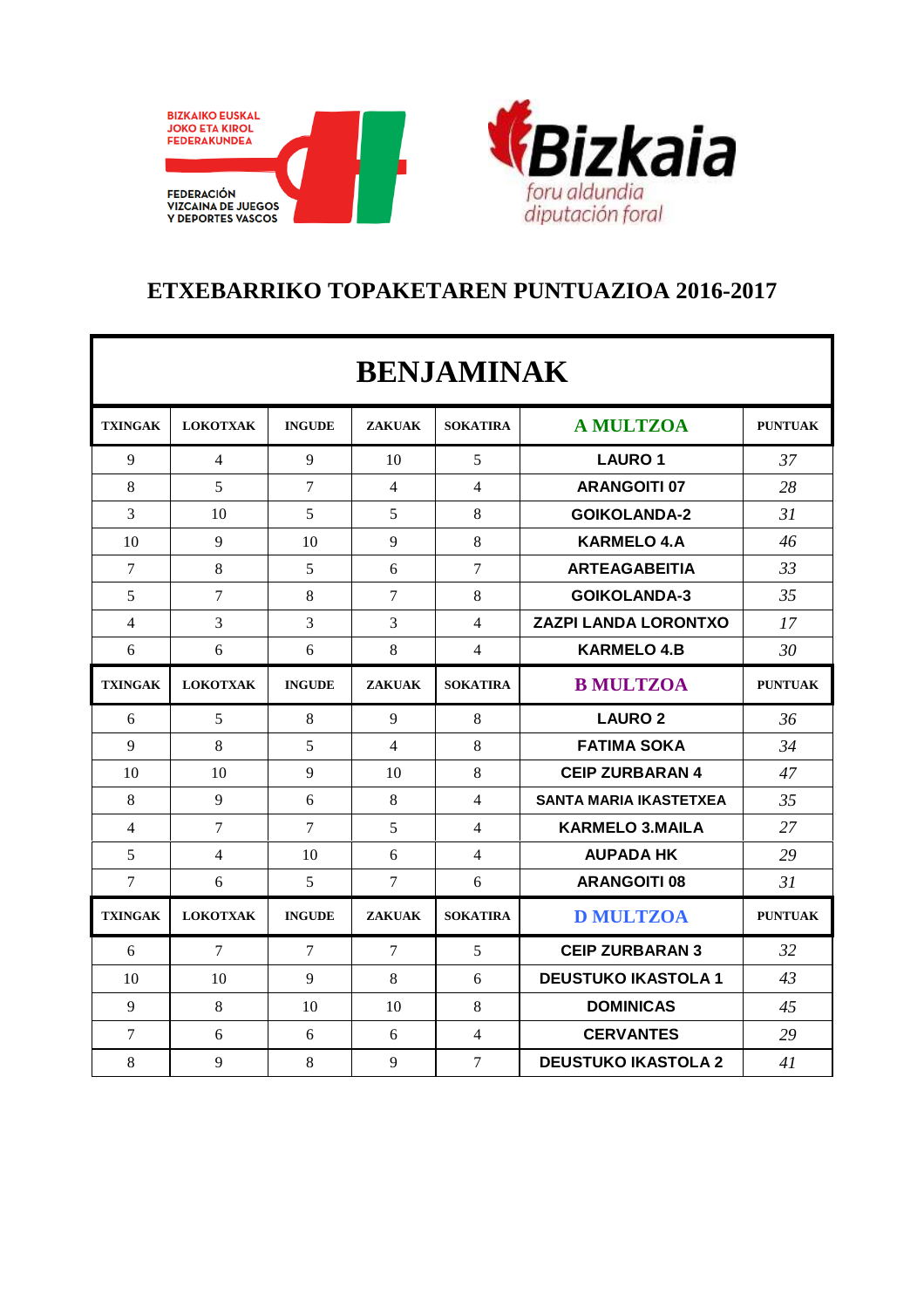



## **ETXEBARRIKO TOPAKETAREN PUNTUAZIOA 2016-2017**

| <b>BENJAMINAK</b> |                 |                |                  |                 |                               |                |  |  |  |  |
|-------------------|-----------------|----------------|------------------|-----------------|-------------------------------|----------------|--|--|--|--|
| <b>TXINGAK</b>    | <b>LOKOTXAK</b> | <b>INGUDE</b>  | <b>ZAKUAK</b>    | <b>SOKATIRA</b> | <b>A MULTZOA</b>              | <b>PUNTUAK</b> |  |  |  |  |
| 9                 | $\overline{4}$  | 9              | 10               | 5               | <b>LAURO 1</b>                | 37             |  |  |  |  |
| 8                 | 5               | 7              | $\overline{4}$   | $\overline{4}$  | <b>ARANGOITI 07</b>           | 28             |  |  |  |  |
| 3                 | 10              | 5              | 5                | 8               | <b>GOIKOLANDA-2</b>           | 31             |  |  |  |  |
| 10                | 9               | 10             | 9                | 8               | <b>KARMELO 4.A</b>            | 46             |  |  |  |  |
| $\overline{7}$    | 8               | 5              | 6                | $\overline{7}$  | <b>ARTEAGABEITIA</b>          | 33             |  |  |  |  |
| 5                 | $\overline{7}$  | 8              | $\boldsymbol{7}$ | 8               | <b>GOIKOLANDA-3</b>           | 35             |  |  |  |  |
| 4                 | 3               | 3              | 3                | $\overline{4}$  | <b>ZAZPI LANDA LORONTXO</b>   | 17             |  |  |  |  |
| 6                 | 6               | 6              | 8                | 4               | <b>KARMELO 4.B</b>            | 30             |  |  |  |  |
| <b>TXINGAK</b>    | <b>LOKOTXAK</b> | <b>INGUDE</b>  | <b>ZAKUAK</b>    | <b>SOKATIRA</b> | <b>B MULTZOA</b>              | <b>PUNTUAK</b> |  |  |  |  |
| 6                 | 5               | 8              | 9                | 8               | <b>LAURO 2</b>                | 36             |  |  |  |  |
| 9                 | 8               | 5              | $\overline{4}$   | 8               | <b>FATIMA SOKA</b>            | 34             |  |  |  |  |
| 10                | 10              | 9              | 10               | 8               | <b>CEIP ZURBARAN 4</b>        | 47             |  |  |  |  |
| 8                 | 9               | 6              | 8                | $\overline{4}$  | <b>SANTA MARIA IKASTETXEA</b> | 35             |  |  |  |  |
| $\overline{4}$    | $\overline{7}$  | $\overline{7}$ | 5                | $\overline{4}$  | <b>KARMELO 3.MAILA</b>        | 27             |  |  |  |  |
| 5                 | $\overline{4}$  | 10             | 6                | $\overline{4}$  | <b>AUPADA HK</b>              | 29             |  |  |  |  |
| 7                 | 6               | 5              | 7                | 6               | <b>ARANGOITI 08</b>           | 31             |  |  |  |  |
| <b>TXINGAK</b>    | <b>LOKOTXAK</b> | <b>INGUDE</b>  | <b>ZAKUAK</b>    | <b>SOKATIRA</b> | <b>D MULTZOA</b>              | <b>PUNTUAK</b> |  |  |  |  |
| 6                 | 7               | 7              | 7                | 5               | <b>CEIP ZURBARAN 3</b>        | 32             |  |  |  |  |
| 10                | 10              | 9              | 8                | 6               | <b>DEUSTUKO IKASTOLA 1</b>    | 43             |  |  |  |  |
| 9                 | 8               | 10             | 10               | 8               | <b>DOMINICAS</b>              | 45             |  |  |  |  |
| $\overline{7}$    | 6               | 6              | 6                | $\overline{4}$  | <b>CERVANTES</b>              | 29             |  |  |  |  |
| 8                 | 9               | 8              | 9                | $\overline{7}$  | <b>DEUSTUKO IKASTOLA 2</b>    | 41             |  |  |  |  |